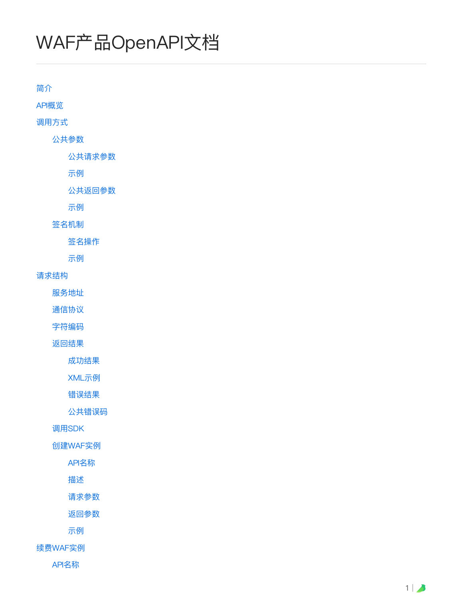# WAF产品OpenAPI⽂档

[简介](#page-1-0) [API概览](#page-1-1) 调用方式 [公共参数](#page-2-1) [公共请求参数](#page-2-2) [示例](#page-3-0) [公共返回参数](#page-4-0) [示例](#page-4-1) [签名机制](#page-4-2) [签名操作](#page-5-0) [示例](#page-6-0) [请求结构](#page-7-0) [服务地址](#page-7-1) [通信协议](#page-7-2) [字符编码](#page-7-3) [返回结果](#page-7-4) [成功结果](#page-8-0) [XML示例](#page-8-1) [错误结果](#page-8-2) [公共错误码](#page-9-0) 调⽤SDK [创建WAF实例](#page-10-0) [API名称](#page-10-1) [描述](#page-10-2) [请求参数](#page-10-3)

[返回参数](#page-11-0)

[示例](#page-11-1)

[续费WAF实例](#page-12-0)

[API名称](#page-12-1)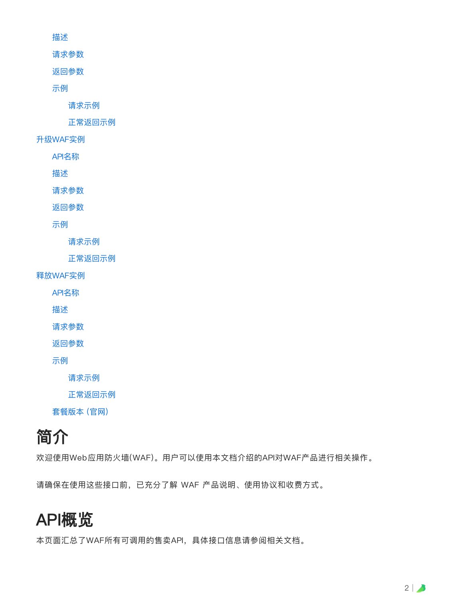[描述](#page-12-2)

[请求参数](#page-13-0)

[返回参数](#page-13-1)

[示例](#page-13-2)

[请求示例](#page-13-3)

[正常返回示例](#page-14-0)

[升级WAF实例](#page-14-1)

[API名称](#page-14-2)

[描述](#page-14-3)

[请求参数](#page-14-4)

[返回参数](#page-15-0)

[示例](#page-15-1)

[请求示例](#page-16-0)

[正常返回示例](#page-16-1)

[释放WAF实例](#page-16-2)

[API名称](#page-16-3)

[描述](#page-17-0)

[请求参数](#page-17-1)

[返回参数](#page-17-2)

[示例](#page-17-3)

[请求示例](#page-17-4)

[正常返回示例](#page-17-5)

套餐版本 (官网)

# <span id="page-1-0"></span>简介

欢迎使用Web应用防火墙(WAF)。用户可以使用本文档介绍的API对WAF产品进行相关操作。

请确保在使用这些接口前, 已充分了解 WAF 产品说明、使用协议和收费方式。

# <span id="page-1-1"></span>API概览

本页面汇总了WAF所有可调用的售卖API, 具体接口信息请参阅相关文档。

 $2 \mid \Delta$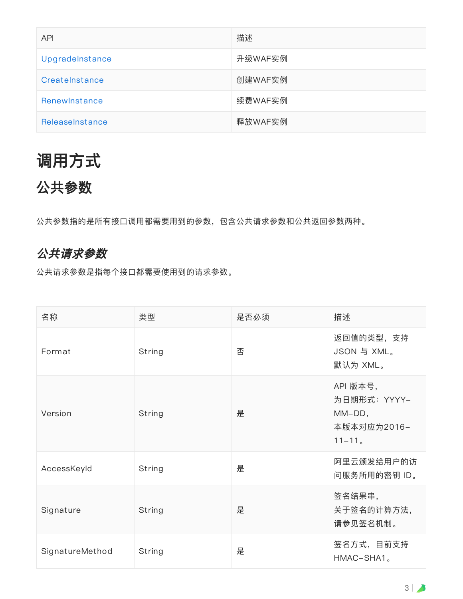| <b>API</b>      | 描述      |
|-----------------|---------|
| Upgradelnstance | 升级WAF实例 |
| CreateInstance  | 创建WAF实例 |
| Renewlnstance   | 续费WAF实例 |
| ReleaseInstance | 释放WAF实例 |

# <span id="page-2-0"></span>调用方式

# <span id="page-2-1"></span>公共参数

公共参数指的是所有接口调用都需要用到的参数,包含公共请求参数和公共返回参数两种。

## <span id="page-2-2"></span>公共请求参数

公共请求参数是指每个接⼝都需要使⽤到的请求参数。

| 名称              | 类型     | 是否必须 | 描述                                                             |
|-----------------|--------|------|----------------------------------------------------------------|
| Format          | String | 否    | 返回值的类型,支持<br>JSON 与 XML。<br>默认为 XML。                           |
| Version         | String | 是    | API 版本号,<br>为日期形式: YYYY-<br>MM-DD,<br>本版本对应为2016-<br>$11 - 11$ |
| AccessKeyId     | String | 是    | 阿里云颁发给用户的访<br>问服务所用的密钥 ID。                                     |
| Signature       | String | 是    | 签名结果串,<br>关于签名的计算方法,<br>请参见签名机制。                               |
| SignatureMethod | String | 是    | 签名方式, 目前支持<br>HMAC-SHA1。                                       |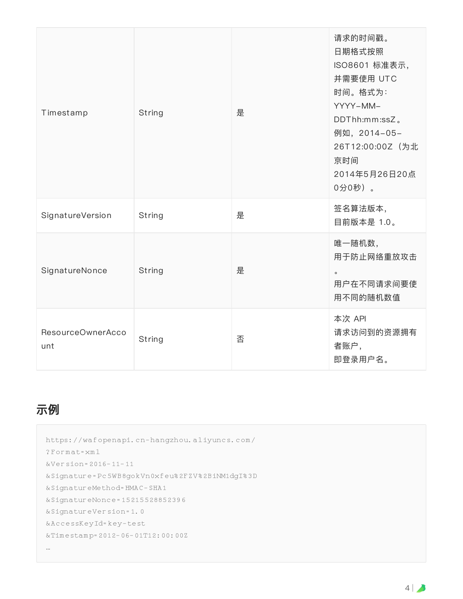| Timestamp                | String | 是 | 请求的时间戳。<br>日期格式按照<br>ISO8601 标准表示,<br>并需要使用 UTC<br>时间。格式为:<br>YYYY-MM-<br>DDThh:mm:ssZ.<br>例如, 2014-05-<br>26T12:00:00Z (为北<br>京时间<br>2014年5月26日20点<br>0分0秒)。 |
|--------------------------|--------|---|---------------------------------------------------------------------------------------------------------------------------------------------------------------|
| SignatureVersion         | String | 是 | 签名算法版本,<br>目前版本是 1.0。                                                                                                                                         |
| SignatureNonce           | String | 是 | 唯一随机数,<br>用于防止网络重放攻击<br>$\circ$<br>用户在不同请求间要使<br>用不同的随机数值                                                                                                     |
| ResourceOwnerAcco<br>unt | String | 否 | 本次 API<br>请求访问到的资源拥有<br>者账户,<br>即登录用户名。                                                                                                                       |

## <span id="page-3-0"></span>示例

```
https://wafopenapi.cn-hangzhou.aliyuncs.com/
?Format=xml
&Version=2016-11-11
&Signature=Pc5WB8gokVn0xfeu%2FZV%2BiNM1dgI%3D
&SignatureMethod=HMAC-SHA1
&SignatureNonce=15215528852396
&SignatureVersion=1.0
&AccessKeyId=key-test
&Timestamp=2012-06-01T12:00:00Z
…
```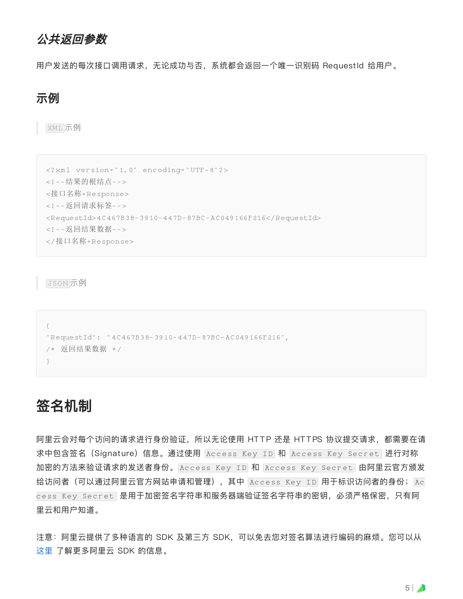#### <span id="page-4-0"></span>公共返回参数

用户发送的每次接口调用请求,无论成功与否,系统都会返回一个唯一识别码 RequestId 给用户。

#### <span id="page-4-1"></span>示例

XML 示例

```
<?xml version="1.0" encoding="UTF-8"?>
<!--结果的根结点-->
<接口名称+Response>
<!--返回请求标签-->
<RequestId>4C467B38-3910-447D-87BC-AC049166F216</RequestId>
<!--返回结果数据-->
</接口名称+Response>
```
JSON 示例

```
{
"RequestId": "4C467B38-3910-447D-87BC-AC049166F216",
/* 返回结果数据 */
}
```
## <span id="page-4-2"></span>签名机制

阿里云会对每个访问的请求进行身份验证,所以无论使用 HTTP 还是 HTTPS 协议提交请求,都需要在请 求中包含签名(Signature)信息。通过使用 |Access Key ID| 和 |Access Key Secret | 进行对称 | 加密的方法来验证请求的发送者身份。Access Key ID 和 Access Key Secret 由阿里云官方颁发 给访问者(可以通过阿里云官方网站申请和管理),其中 |Access Key ID 用于标识访问者的身份; |Ac cess Key Secret 是用于加密签名字符串和服务器端验证签名字符串的密钥,必须严格保密,只有阿 里云和用户知道。

注意:阿里云提供了多种语言的 SDK 及第三方 SDK, 可以免去您对签名算法进行编码的麻烦。您可以从 这里 了解更多阿里云 SDK 的信息。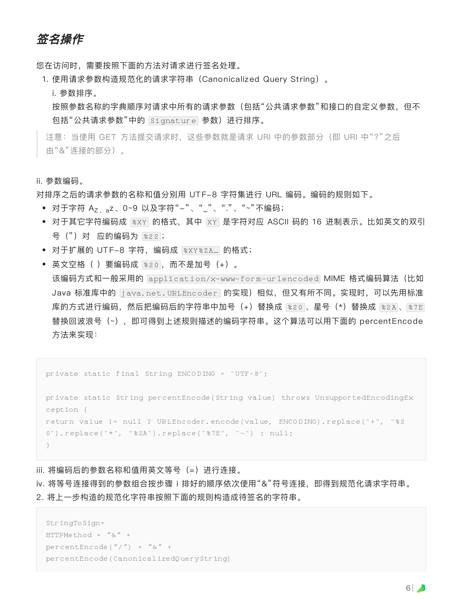<span id="page-5-0"></span>签名操作

您在访问时,需要按照下面的方法对请求进行签名处理。

1. 使用请求参数构造规范化的请求字符串 (Canonicalized Query String)。

i. 参数排序。

按照参数名称的字典顺序对请求中所有的请求参数(包括"公共请求参数"和接口的自定义参数,但不 包括"公共请求参数"中的 Signature 参数)进行排序。

注意: 当使用 GET 方法提交请求时, 这些参数就是请求 URI 中的参数部分 (即 URI 中"?"之后 由"&"连接的部分)。

#### ii. 参数编码。

对排序之后的请求参数的名称和值分别用 UTF-8 字符集进行 URL 编码。编码的规则如下。

- 对于字符 A<sub>Z、a</sub>z、0~9 以及字符"--"、"\_"、"."、"~"不编码;
- 对于其它字符编码成 |%xy| 的格式,其中 |xy| 是字符对应 ASCII 码的 16 进制表示。比如英文的双引 | 号(")对 应的编码为 |※2.2 ;
- 对于扩展的 UTF-8 字符,编码成 |%XY%ZA...| 的格式;
- 英文空格( )要编码成 |%20 |,而不是加号(+)。

该编码方式和一般采用的 application/x-www-form-urlencoded MIME 格式编码算法(比如 Java 标准库中的 [java.net.URLEncoder | 的实现)相似,但又有所不同。实现时,可以先用标准 库的方式进行编码,然后把编码后的字符串中加号(+)替换成 |%20 |、星号(\*)替换成 |%2A |、|%7E | 替换回波浪号(~),即可得到上述规则描述的编码字符串。这个算法可以⽤下⾯的 percentEncode 方法来实现:

private static final String ENCODING = "UTF-8";

private static String percentEncode(String value) throws UnsupportedEncodingEx ception { return value != null ? URLEncoder.encode(value, ENCODING).replace("+", "%2 0").replace("\*", "%2A").replace("%7E", "~") : null; }

iii. 将编码后的参数名称和值用英文等号 (=) 进行连接。

iv. 将等号连接得到的参数组合按步骤 i 排好的顺序依次使用"&"符号连接, 即得到规范化请求字符串。

2. 将上一步构造的规范化字符串按照下面的规则构造成待签名的字符串。

```
StringToSign=
HTTPMethod + "&" +
percentEncode("/") + "&" +
percentEncode(CanonicalizedQueryString)
```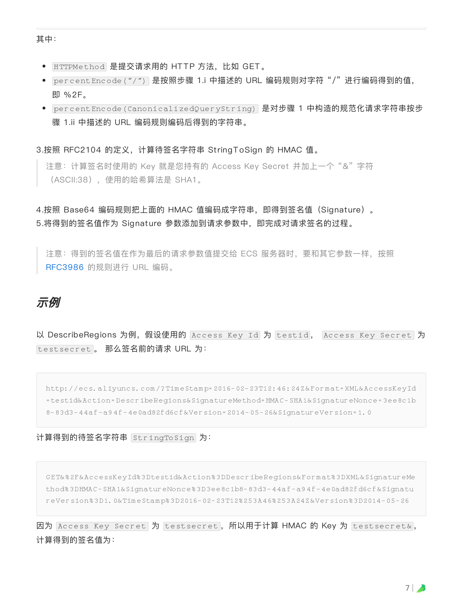其中:

- HTTPMethod 是提交请求用的 HTTP 方法,比如 GET。
- 是按照步骤 1.i 中描述的 URL 编码规则对字符 "/" 进⾏编码得到的值, percentEncode("/") 即 %2F。
- percentEncode(CanonicalizedQueryString) 是对步骤 1 中构造的规范化请求字符串按步 骤 1.ii 中描述的 URL 编码规则编码后得到的字符串。

#### 3.按照 RFC2104 的定义,计算待签名字符串 StringToSign 的 HMAC 值。

注意: 计算签名时使用的 Key 就是您持有的 Access Key Secret 并加上一个"&"字符 (ASCII:38),使⽤的哈希算法是 SHA1。

4.按照 Base64 编码规则把上面的 HMAC 值编码成字符串, 即得到签名值 (Signature)。 5.将得到的签名值作为 Signature 参数添加到请求参数中,即完成对请求签名的过程。

注意: 得到的签名值在作为最后的请求参数值提交给 ECS 服务器时, 要和其它参数一样, 按照 [RFC3986](https://tools.ietf.org/html/rfc3986) 的规则进⾏ URL 编码。

#### <span id="page-6-0"></span>示例

以 D**escribeRegions 为例,假设使用的** Access Key Id 为 testid, Access Key Secret 为 testsecret 。 那么签名前的请求 URL 为:

http://ecs.aliyuncs.com/?TimeStamp=2016-02-23T12:46:24Z&Format=XML&AccessKeyId =testid&Action=DescribeRegions&SignatureMethod=HMAC-SHA1&SignatureNonce=3ee8c1b 8-83d3-44af-a94f-4e0ad82fd6cf&Version=2014-05-26&SignatureVersion=1.0

计算得到的待签名字符串 为: StringToSign

GET&%2F&AccessKeyId%3Dtestid&Action%3DDescribeRegions&Format%3DXML&SignatureMe thod%3DHMAC-SHA1&SignatureNonce%3D3ee8c1b8-83d3-44af-a94f-4e0ad82fd6cf&Signatu reVersion%3D1.0&TimeStamp%3D2016-02-23T12%253A46%253A24Z&Version%3D2014-05-26

因为 Access Key Secret 为 testsecret, 所以用于计算 HMAC 的 Key 为 testsecret&, 计算得到的签名值为: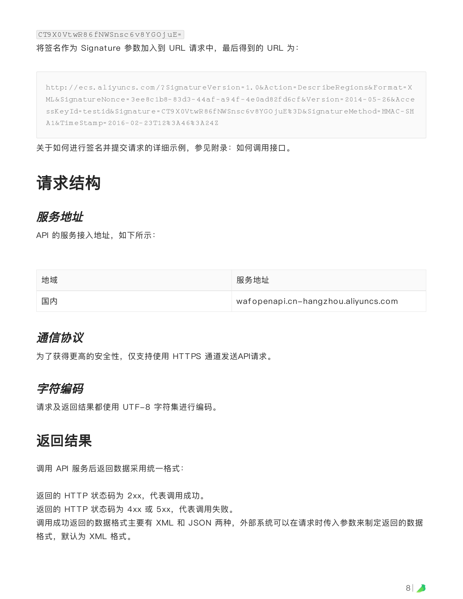#### CT9X0VtwR86fNWSnsc6v8YGOjuE=

#### 将签名作为 Signature 参数加入到 URL 请求中, 最后得到的 URL 为:

http://ecs.aliyuncs.com/?SignatureVersion=1.0&Action=DescribeRegions&Format=X ML&SignatureNonce=3ee8c1b8-83d3-44af-a94f-4e0ad82fd6cf&Version=2014-05-26&Acce ssKeyId=testid&Signature=CT9X0VtwR86fNWSnsc6v8YGOjuE%3D&SignatureMethod=HMAC-SH A1&TimeStamp=2016-02-23T12%3A46%3A24Z

关于如何进行签名并提交请求的详细示例,参见附录:如何调用接口。

# <span id="page-7-0"></span>请求结构

#### <span id="page-7-1"></span>服务地址

API 的服务接入地址, 如下所示:

| 地域 | 服务地址                                |
|----|-------------------------------------|
| 国内 | wafopenapi.cn-hangzhou.aliyuncs.com |

#### <span id="page-7-2"></span>通信协议

为了获得更高的安全性, 仅支持使用 HTTPS 通道发送API请求。

#### <span id="page-7-3"></span>字符编码

请求及返回结果都使用 UTF-8 字符集进行编码。

#### <span id="page-7-4"></span>返回结果

调用 API 服务后返回数据采用统一格式:

返回的 HTTP 状态码为 2xx, 代表调用成功。 返回的 HTTP 状态码为 4xx 或 5xx, 代表调用失败。 调用成功返回的数据格式主要有 XML 和 JSON 两种, 外部系统可以在请求时传入参数来制定返回的数据 格式,默认为 XML 格式。

8 |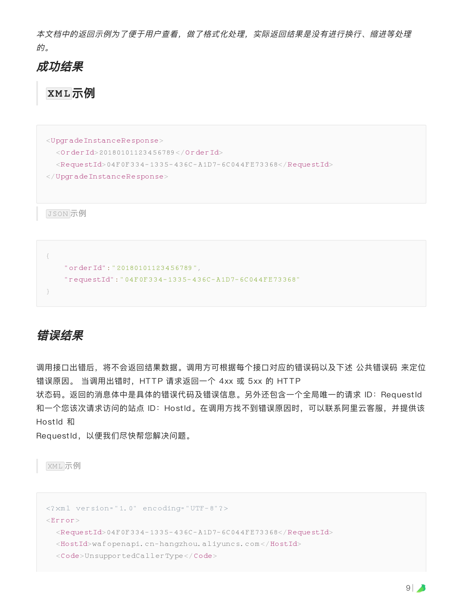本文档中的返回示例为了便于用户查看,做了格式化处理,实际返回结果是没有进行换行、缩进等处理 的。

#### <span id="page-8-0"></span>成功结果

<span id="page-8-1"></span>**XML**示例

```
<UpgradeInstanceResponse>
 <OrderId>20180101123456789</OrderId>
 <RequestId>04F0F334-1335-436C-A1D7-6C044FE73368</RequestId>
</UpgradeInstanceResponse>
```
JSON 示例

```
{
   "orderId":"20180101123456789",
    "requestId":"04F0F334-1335-436C-A1D7-6C044FE73368"
}
```
## <span id="page-8-2"></span>错误结果

调用接口出错后,将不会返回结果数据。调用方可根据每个接口对应的错误码以及下述 公共错误码 来定位 错误原因。 当调用出错时, HTTP 请求返回一个 4xx 或 5xx 的 HTTP

状态码。返回的消息体中是具体的错误代码及错误信息。另外还包含一个全局唯一的请求 ID: RequestId 和一个您该次请求访问的站点 ID: HostId。在调用方找不到错误原因时, 可以联系阿里云客服, 并提供该 HostId 和

RequestId,以便我们尽快帮您解决问题。

XML 示例

```
<?xml version="1.0" encoding="UTF-8"?>
\timesError><RequestId>04F0F334-1335-436C-A1D7-6C044FE73368</RequestId>
 <HostId>wafopenapi.cn-hangzhou.aliyuncs.com</HostId>
 <Code>UnsupportedCallerType</Code>
```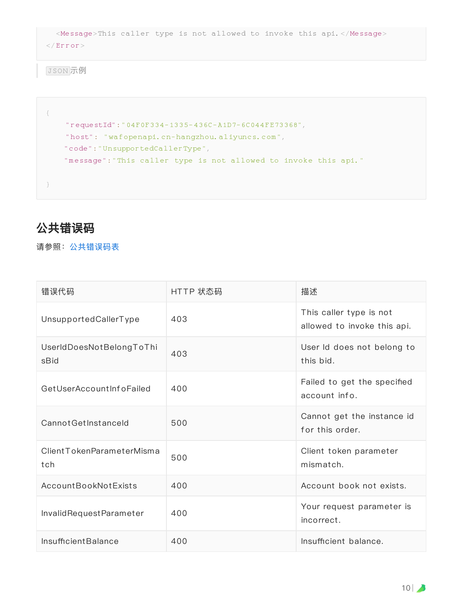```
<Message>This caller type is not allowed to invoke this api.</Message>
\langle / Error>
```
JSON 示例

```
{
    "requestId":"04F0F334-1335-436C-A1D7-6C044FE73368",
    "host": "wafopenapi.cn-hangzhou.aliyuncs.com",
   "code":"UnsupportedCallerType",
   "message":"This caller type is not allowed to invoke this api."
}
```
## <span id="page-9-0"></span>公共错误码

请参照:[公共错误码表](https://error-center.aliyun.com/status/product/Public)

| 错误代码                             | HTTP 状态码 | 描述                                                     |
|----------------------------------|----------|--------------------------------------------------------|
| UnsupportedCallerType            | 403      | This caller type is not<br>allowed to invoke this api. |
| UserIdDoesNotBelongToThi<br>sBid | 403      | User Id does not belong to<br>this bid.                |
| GetUserAccountInfoFailed         | 400      | Failed to get the specified<br>account info.           |
| Cannot Get Instanceld            | 500      | Cannot get the instance id<br>for this order.          |
| ClientTokenParameterMisma<br>tch | 500      | Client token parameter<br>mismatch.                    |
| AccountBookNotExists             | 400      | Account book not exists.                               |
| InvalidRequestParameter          | 400      | Your request parameter is<br>incorrect.                |
| <b>Insufficient Balance</b>      | 400      | Insufficient balance.                                  |

10 |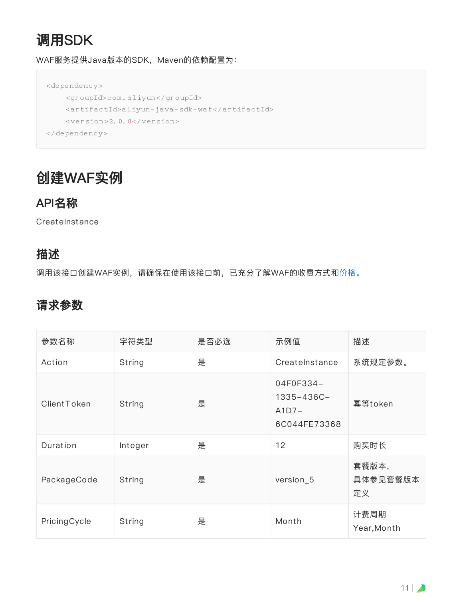# 调⽤SDK

WAF服务提供Java版本的SDK, Maven的依赖配置为:

```
<dependency>
    <groupId>com.aliyun</groupId>
    <artifactId>aliyun-java-sdk-waf</artifactId>
    <version>2.0.0</version>
</dependency>
```
# <span id="page-10-0"></span>创建WAF实例

## <span id="page-10-1"></span>API名称

**CreateInstance** 

### <span id="page-10-2"></span>描述

调用该接口创建WAF实例,请确保在使用该接口前,已充分了解WAF的收费方式和[价格。](https://www.aliyun.com/price/product?spm=5176.8030368.333906.9.b640317LpZCei#/waf/detail)

## <span id="page-10-3"></span>请求参数

| 参数名称         | 字符类型    | 是否必选 | 示例值                                                | 描述                      |
|--------------|---------|------|----------------------------------------------------|-------------------------|
| Action       | String  | 是    | CreateInstance                                     | 系统规定参数。                 |
| ClientToken  | String  | 是    | 04F0F334-<br>1335-436C-<br>$A1D7-$<br>6C044FE73368 | 幂等token                 |
| Duration     | Integer | 是    | 12                                                 | 购买时长                    |
| PackageCode  | String  | 是    | version <sub>_5</sub>                              | 套餐版本,<br>具体参见套餐版本<br>定义 |
| PricingCycle | String  | 是    | Month                                              | 计费周期<br>Year, Month     |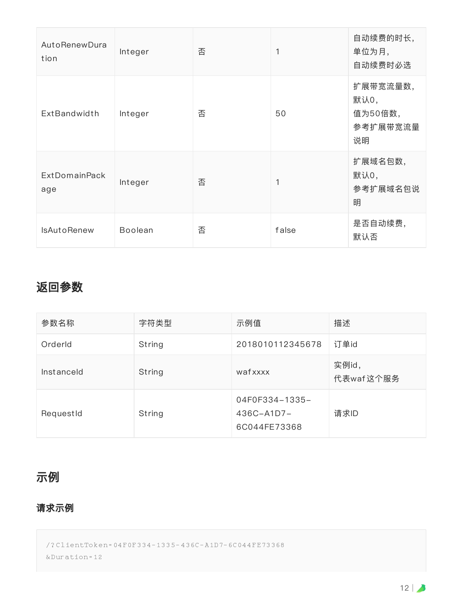| AutoRenewDura<br>tion       | Integer        | 否 | 1     | 自动续费的时长,<br>单位为月,<br>自动续费时必选                  |
|-----------------------------|----------------|---|-------|-----------------------------------------------|
| ExtBandwidth                | Integer        | 否 | 50    | 扩展带宽流量数,<br>默认0,<br>值为50倍数,<br>参考扩展带宽流量<br>说明 |
| <b>ExtDomainPack</b><br>age | Integer        | 否 | 1     | 扩展域名包数,<br>默认0,<br>参考扩展域名包说<br>明              |
| <b>IsAutoRenew</b>          | <b>Boolean</b> | 否 | false | 是否自动续费,<br>默认否                                |

## <span id="page-11-0"></span>返回参数

| 参数名称       | 字符类型   | 示例值                                               | 描述                 |
|------------|--------|---------------------------------------------------|--------------------|
| Orderld    | String | 2018010112345678                                  | 订单id               |
| Instanceld | String | wafxxxx                                           | 实例id,<br>代表waf这个服务 |
| RequestId  | String | 04F0F334-1335-<br>$436C - A1D7 -$<br>6C044FE73368 | 请求ID               |

## <span id="page-11-1"></span>示例

#### 请求示例

/?ClientToken=04F0F334-1335-436C-A1D7-6C044FE73368 &Duration=12

 $12$  |  $\blacktriangleright$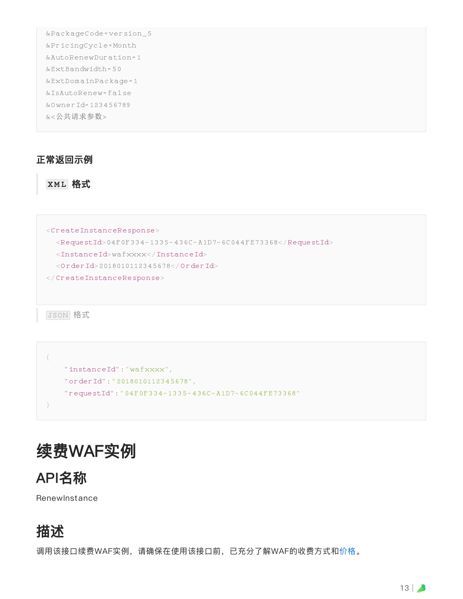```
&PackageCode=version_5
&PricingCycle=Month
&AutoRenewDuration=1
&ExtBandwidth=50
&ExtDomainPackage=1
&IsAutoRenew=false
&OwnerId=123456789
&<公共请求参数>
```
#### 正常返回示例

#### **XML** 格式

```
<CreateInstanceResponse>
 <RequestId>04F0F334-1335-436C-A1D7-6C044FE73368</RequestId>
 <InstanceId>wafxxxx</InstanceId>
 <OrderId>2018010112345678</OrderId>
```
</CreateInstanceResponse>

JSON 格式

```
{
   "instanceId":"wafxxxx",
   "orderId":"2018010112345678",
   "requestId":"04F0F334-1335-436C-A1D7-6C044FE73368"
}
```
# <span id="page-12-0"></span>续费WAF实例

<span id="page-12-1"></span>

**RenewInstance** 

# <span id="page-12-2"></span>描述

调用该接口续费WAF实例,请确保在使用该接口前,已充分了解WAF的收费方式和[价格。](https://www.aliyun.com/price/product?spm=5176.8030368.333906.9.b640317LpZCei#/waf/detail)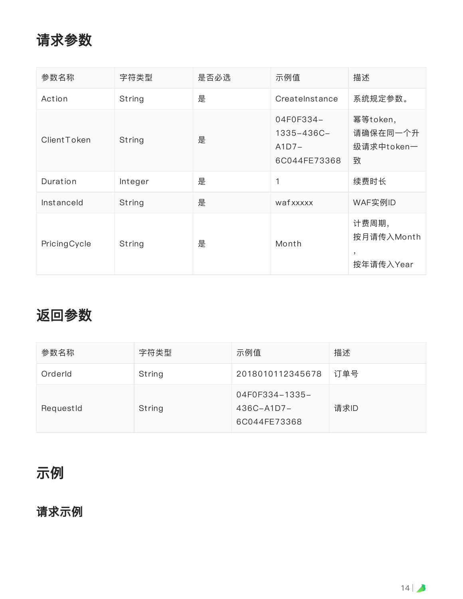# <span id="page-13-0"></span>请求参数

| 参数名称         | 字符类型    | 是否必选 | 示例值                                                | 描述                                      |
|--------------|---------|------|----------------------------------------------------|-----------------------------------------|
| Action       | String  | 是    | CreateInstance                                     | 系统规定参数。                                 |
| ClientToken  | String  | 是    | 04F0F334-<br>1335-436C-<br>$A1D7-$<br>6C044FE73368 | 幂等token,<br>请确保在同一个升<br>级请求中token一<br>致 |
| Duration     | Integer | 是    | 1                                                  | 续费时长                                    |
| Instanceld   | String  | 是    | wafxxxxx                                           | WAF实例ID                                 |
| PricingCycle | String  | 是    | Month                                              | 计费周期,<br>按月请传入Month<br>,<br>按年请传入Year   |

# <span id="page-13-1"></span>返回参数

| 参数名称      | 字符类型   | 示例值                                               | 描述   |
|-----------|--------|---------------------------------------------------|------|
| Orderld   | String | 2018010112345678                                  | 订单号  |
| RequestId | String | 04F0F334-1335-<br>$436C - A1D7 -$<br>6C044FE73368 | 请求ID |

# <span id="page-13-2"></span>示例

## <span id="page-13-3"></span>请求示例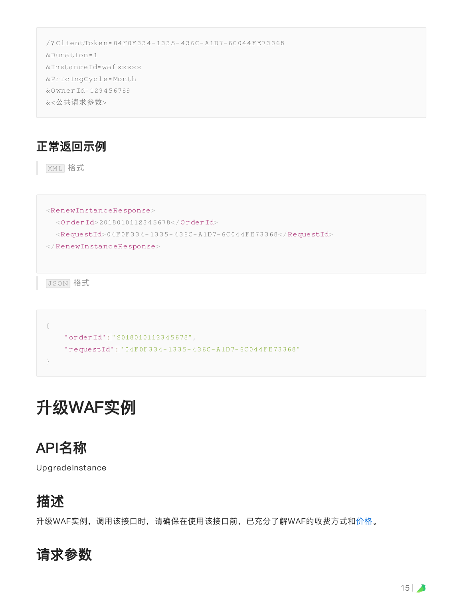/?ClientToken=04F0F334-1335-436C-A1D7-6C044FE73368 &Duration=1 &InstanceId=wafxxxxx &PricingCycle=Month &OwnerId=123456789 &<公共请求参数>

<span id="page-14-0"></span>正常返回示例

XML 格式

 $<$ RenewInstanceResponse> <OrderId>2018010112345678</OrderId>  $<$ RequestId>04F0F334-1335-436C-A1D7-6C044FE73368</RequestId> </RenewInstanceResponse>

JSON 格式

```
{
   "orderId":"2018010112345678",
   "requestId":"04F0F334-1335-436C-A1D7-6C044FE73368"
}
```
# <span id="page-14-1"></span>升级WAF实例

## <span id="page-14-2"></span>API名称

UpgradeInstance

# <span id="page-14-3"></span>描述

升级WAF实例,调用该接口时,请确保在使用该接口前,已充分了解WAF的收费方式和[价格](https://www.aliyun.com/price/product?spm=5176.8030368.333906.9.b640317LpZCei#/waf/detail)。

<span id="page-14-4"></span>请求参数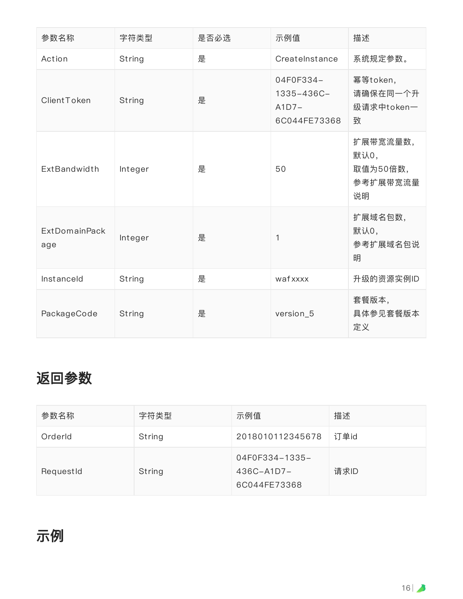| 参数名称                        | 字符类型    | 是否必选 | 示例值                                                | 描述                                             |
|-----------------------------|---------|------|----------------------------------------------------|------------------------------------------------|
| Action                      | String  | 是    | CreateInstance                                     | 系统规定参数。                                        |
| ClientToken                 | String  | 是    | 04F0F334-<br>1335-436C-<br>$A1D7-$<br>6C044FE73368 | 幂等token,<br>请确保在同一个升<br>级请求中token一<br>致        |
| <b>ExtBandwidth</b>         | Integer | 是    | 50                                                 | 扩展带宽流量数,<br>默认0,<br>取值为50倍数,<br>参考扩展带宽流量<br>说明 |
| <b>ExtDomainPack</b><br>age | Integer | 是    | 1                                                  | 扩展域名包数,<br>默认0,<br>参考扩展域名包说<br>明               |
| Instanceld                  | String  | 是    | wafxxxx                                            | 升级的资源实例ID                                      |
| PackageCode                 | String  | 是    | version_5                                          | 套餐版本,<br>具体参见套餐版本<br>定义                        |

# <span id="page-15-0"></span>返回参数

<span id="page-15-1"></span>

| 参数名称      | 字符类型   | 示例值                                               | 描述   |
|-----------|--------|---------------------------------------------------|------|
| Orderld   | String | 2018010112345678                                  | 订单id |
| RequestId | String | 04F0F334-1335-<br>$436C - A1D7 -$<br>6C044FE73368 | 请求ID |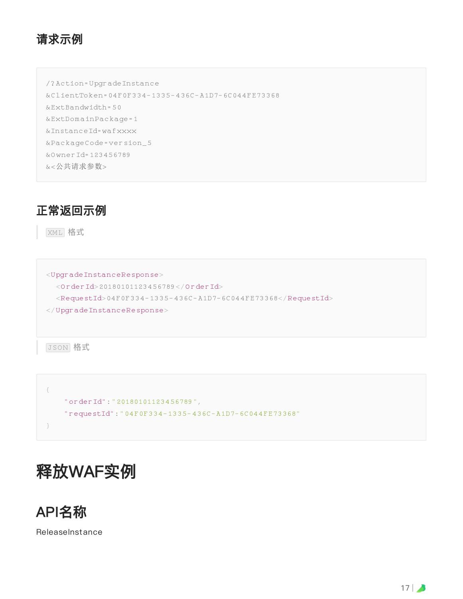#### <span id="page-16-0"></span>请求示例

/?Action=UpgradeInstance &ClientToken=04F0F334-1335-436C-A1D7-6C044FE73368

&ExtBandwidth=50

&ExtDomainPackage=1 &InstanceId=wafxxxx

&PackageCode=version\_5

&OwnerId=123456789

&<公共请求参数>

### <span id="page-16-1"></span>正常返回示例

XML 格式

<UpgradeInstanceResponse> <OrderId>20180101123456789</OrderId>  $<$ RequestId>04F0F334-1335-436C-A1D7-6C044FE73368</RequestId> </UpgradeInstanceResponse>

JSON 格式

```
{
   "orderId":"20180101123456789",
    "requestId":"04F0F334-1335-436C-A1D7-6C044FE73368"
}
```
# <span id="page-16-2"></span>释放WAF实例

<span id="page-16-3"></span>

**ReleaseInstance**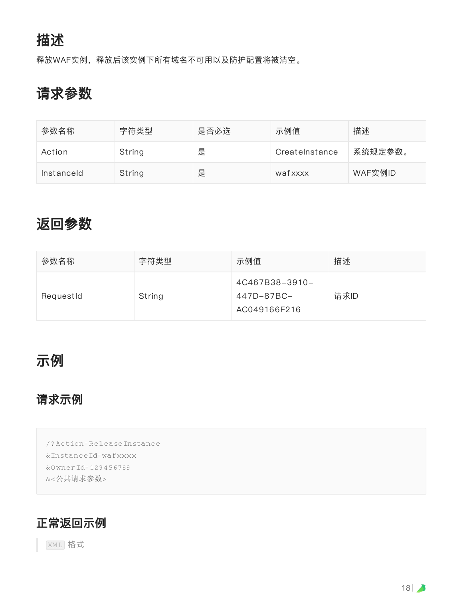<span id="page-17-0"></span>释放WAF实例,释放后该实例下所有域名不可⽤以及防护配置将被清空。

# <span id="page-17-1"></span>请求参数

| 参数名称       | 字符类型   | 是否必选 | 示例值            | 描述      |
|------------|--------|------|----------------|---------|
| Action     | String | 是    | Createlnstance | 系统规定参数。 |
| Instanceld | String | 是    | wafxxxx        | WAF实例ID |

# <span id="page-17-2"></span>返回参数

| 参数名称      | 字符类型   | 示例值                                          | 描述   |
|-----------|--------|----------------------------------------------|------|
| RequestId | String | 4C467B38-3910-<br>447D-87BC-<br>AC049166F216 | 请求ID |

# <span id="page-17-3"></span>示例

## <span id="page-17-4"></span>请求示例

/?Action=ReleaseInstance &InstanceId=wafxxxx &OwnerId=123456789 &<公共请求参数>

### <span id="page-17-5"></span>正常返回示例

XML 格式